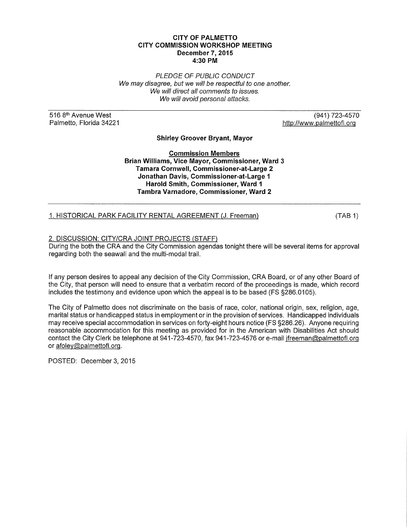#### **CITY OF PALMETTO CITY COMMISSION WORKSHOP MEETING December 7, 2015 4:30 PM**

PLEDGE OF PUBLIC CONDUCT We may disagree, but we will be respectful to one another. We will direct all comments to issues. We will avoid personal attacks.

516 8<sup>th</sup> Avenue West Palmetto, Florida 34221

(941) 723-4570 http://www.palmettofl.org

**Shirley Groover Bryant, Mayor** 

**Commission Members Brian Williams, Vice Mayor, Commissioner, Ward 3 Tamara Cornwell, Commissioner-at-Large 2 Jonathan Davis, Commissioner-at-Large 1 Harold Smith, Commissioner, Ward 1 Tambra Varnadore, Commissioner, Ward 2** 

1. HISTORICAL PARK FACILITY RENTAL AGREEMENT (J. Freeman)

(TAB 1)

#### 2. DISCUSSION: CITY/CRA JOINT PROJECTS (STAFF)

During the both the CRA and the City Commission agendas tonight there will be several items for approval regarding both the seawall and the multi-modal trail.

If any person desires to appeal any decision of the City Commission, CRA Board, or of any other Board of the City, that person will need to ensure that a verbatim record of the proceedings is made, which record includes the testimony and evidence upon which the appeal is to be based (FS §286.0105).

The City of Palmetto does not discriminate on the basis of race, color, national origin, sex, religion, age, marital status or handicapped status in employment or in the provision of services. Handicapped individuals may receive special accommodation in services on forty-eight hours notice (FS §286.26). Anyone requiring reasonable accommodation for this meeting as provided for in the American with Disabilities Act should contact the City Clerk be telephone at 941-723-4570, fax 941-723-4576 or e-mail jfreeman@palmettofl.org or afoley@palmettofl.org.

POSTED: December 3, 2015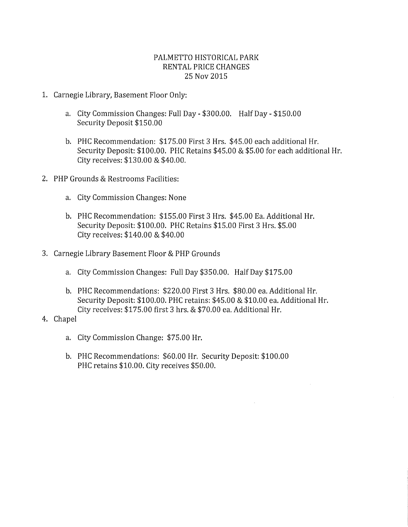# PALMETTO HISTORICAL PARK RENTAL PRICE CHANGES 25 Nov 2015

- 1. Carnegie Library, Basement Floor Only:
	- a. City Commission Changes: Full Day \$300.00. Half Day \$150.00 Security Deposit \$150.00
	- b. PHC Recommendation: \$175.00 First 3 Hrs. \$45.00 each additional Hr. Security Deposit: \$100.00. PHC Retains \$45.00 & \$5.00 for each additional Hr. City receives: \$130.00 & \$40.00.
- 2. PHP Grounds & Restrooms Facilities:
	- a. City Commission Changes: None
	- b. PHC Recommendation: \$155.00 First 3 Hrs. \$45.00 Ea. Additional Hr. Security Deposit: \$100.00. PHC Retains \$15.00 First 3 Hrs. \$5.00 City receives: \$140.00 & \$40.00
- 3. Carnegie Library Basement Floor & PHP Grounds
	- a. City Commission Changes: Full Day \$350.00. Half Day \$175.00
	- b. PHC Recommendations: \$220.00 First 3 Hrs. \$80.00 ea. Additional Hr. Security Deposit: \$100.00. PHC retains: \$45.00 & \$10.00 ea. Additional Hr. City receives: \$175.00 first 3 hrs. & \$70.00 ea. Additional Hr.
- 4. Chapel
	- a. City Commission Change: \$75.00 Hr.
	- b. PHC Recommendations: \$60.00 Hr. Security Deposit: \$100.00 PHC retains \$10.00. City receives \$50.00.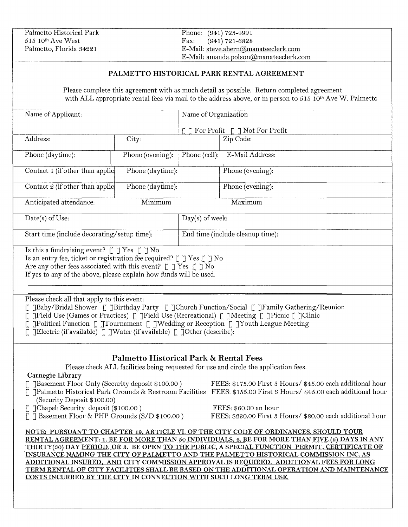| Palmetto Historical Park        | Phone: (941) 723-4991                     |
|---------------------------------|-------------------------------------------|
| $515$ 10 <sup>th</sup> Ave West | Fax: $(941) 721 - 6828$                   |
| Palmetto, Florida 34221         | E-Mail: steve.ahern@manateeclerk.com      |
|                                 | $E$ -Mail: amanda.polson@manateeclerk.com |

#### PALMETTO HISTORICAL PARK RENTAL AGREEMENT

Please complete this agreement with as much detail as possible. Return completed agreement with ALL appropriate rental fees via mail to the address above, or in person to 515 10th Ave W. Palmetto

| Name of Applicant:                                                                                                     |                                                                                                                                                                                      | Name of Organization                            |                                                                                                                                                                                         |  |  |
|------------------------------------------------------------------------------------------------------------------------|--------------------------------------------------------------------------------------------------------------------------------------------------------------------------------------|-------------------------------------------------|-----------------------------------------------------------------------------------------------------------------------------------------------------------------------------------------|--|--|
|                                                                                                                        |                                                                                                                                                                                      | $\lceil$ ] For Profit $\lceil$ ] Not For Profit |                                                                                                                                                                                         |  |  |
| Address:                                                                                                               | City:                                                                                                                                                                                |                                                 | Zip Code:                                                                                                                                                                               |  |  |
|                                                                                                                        |                                                                                                                                                                                      |                                                 |                                                                                                                                                                                         |  |  |
| Phone (daytime):                                                                                                       | Phone (evening):                                                                                                                                                                     | Phone (cell):                                   | E-Mail Address:                                                                                                                                                                         |  |  |
| Contact 1 (if other than applic                                                                                        | Phone (daytime):                                                                                                                                                                     |                                                 | Phone (evening):                                                                                                                                                                        |  |  |
|                                                                                                                        |                                                                                                                                                                                      |                                                 |                                                                                                                                                                                         |  |  |
| Contact 2 (if other than applic                                                                                        | Phone (daytime):                                                                                                                                                                     |                                                 | Phone (evening):                                                                                                                                                                        |  |  |
|                                                                                                                        |                                                                                                                                                                                      |                                                 |                                                                                                                                                                                         |  |  |
| Anticipated attendance:                                                                                                | Minimum                                                                                                                                                                              |                                                 | Maximum                                                                                                                                                                                 |  |  |
| Date(s) of Use:                                                                                                        |                                                                                                                                                                                      | $Day(s)$ of week:                               |                                                                                                                                                                                         |  |  |
|                                                                                                                        |                                                                                                                                                                                      |                                                 |                                                                                                                                                                                         |  |  |
| Start time (include decorating/setup time):                                                                            |                                                                                                                                                                                      |                                                 | End time (include cleanup time):                                                                                                                                                        |  |  |
| Is this a fundraising event? $\[\ ]$ Yes $\[\ ]$ No                                                                    |                                                                                                                                                                                      |                                                 |                                                                                                                                                                                         |  |  |
| Is an entry fee, ticket or registration fee required? $\lbrack \lbrack \; \rbrack$ Yes $\lbrack \; \rbrack$ No         |                                                                                                                                                                                      |                                                 |                                                                                                                                                                                         |  |  |
| Are any other fees associated with this event? $\[\ ]$ Yes $\[\ ]$ No                                                  |                                                                                                                                                                                      |                                                 |                                                                                                                                                                                         |  |  |
| If yes to any of the above, please explain how funds will be used.                                                     |                                                                                                                                                                                      |                                                 |                                                                                                                                                                                         |  |  |
|                                                                                                                        |                                                                                                                                                                                      |                                                 |                                                                                                                                                                                         |  |  |
|                                                                                                                        |                                                                                                                                                                                      |                                                 |                                                                                                                                                                                         |  |  |
| Please check all that apply to this event:                                                                             |                                                                                                                                                                                      |                                                 |                                                                                                                                                                                         |  |  |
|                                                                                                                        | [JBaby/Bridal Shower [JBirthday Party [JChurch Function/Social [JFamily Gathering/Reunion]<br>Trield Use (Games or Practices) [Trield Use (Recreational) [TMeeting [Tricnic [Tclinic |                                                 |                                                                                                                                                                                         |  |  |
|                                                                                                                        |                                                                                                                                                                                      |                                                 | JPolitical Function [JTournament [JWedding or Reception [JYouth League Meeting                                                                                                          |  |  |
| Find the Section (if available) $\lbrack \zeta \rbrack$ Water (if available) $\lbrack \zeta \rbrack$ Other (describe): |                                                                                                                                                                                      |                                                 |                                                                                                                                                                                         |  |  |
|                                                                                                                        |                                                                                                                                                                                      |                                                 |                                                                                                                                                                                         |  |  |
|                                                                                                                        |                                                                                                                                                                                      |                                                 |                                                                                                                                                                                         |  |  |
|                                                                                                                        | <b>Palmetto Historical Park &amp; Rental Fees</b>                                                                                                                                    |                                                 |                                                                                                                                                                                         |  |  |
|                                                                                                                        | Please check ALL facilities being requested for use and circle the application fees.                                                                                                 |                                                 |                                                                                                                                                                                         |  |  |
| Carnegie Library                                                                                                       |                                                                                                                                                                                      |                                                 | FEES: \$175.00 First 3 Hours/ \$45.00 each additional hour                                                                                                                              |  |  |
| JBasement Floor Only (Security deposit \$100.00)                                                                       |                                                                                                                                                                                      |                                                 | JPalmetto Historical Park Grounds & Restroom Facilities FEES: \$155.00 First 3 Hours/ \$45.00 each additional hour                                                                      |  |  |
| (Security Deposit \$100.00)                                                                                            |                                                                                                                                                                                      |                                                 |                                                                                                                                                                                         |  |  |
| ]Chapel: Security deposit (\$100.00)                                                                                   |                                                                                                                                                                                      |                                                 | FEES: \$60.00 an hour                                                                                                                                                                   |  |  |
| Basement Floor & PHP Grounds (S/D \$100.00)                                                                            |                                                                                                                                                                                      |                                                 | FEES: \$220.00 First 3 Hours/ \$80.00 each additional hour                                                                                                                              |  |  |
|                                                                                                                        |                                                                                                                                                                                      |                                                 |                                                                                                                                                                                         |  |  |
|                                                                                                                        |                                                                                                                                                                                      |                                                 | NOTE: PURSUANT TO CHAPTER 19, ARTICLE VI. OF THE CITY CODE OF ORDINANCES. SHOULD YOUR<br>RENTAL AGREEMENT: 1. BE FOR MORE THAN 50 INDIVIDUALS, 2. BE FOR MORE THAN FIVE (5) DAYS IN ANY |  |  |
|                                                                                                                        |                                                                                                                                                                                      |                                                 | THIRTY(30) DAY PERIOD, OR 3. BE OPEN TO THE PUBLIC, A SPECIAL FUNCTION PERMIT, CERTIFICATE OF                                                                                           |  |  |
|                                                                                                                        |                                                                                                                                                                                      |                                                 | INSURANCE NAMING THE CITY OF PALMETTO AND THE PALMETTO HISTORICAL COMMISSION INC. AS                                                                                                    |  |  |
|                                                                                                                        |                                                                                                                                                                                      |                                                 | ADDITIONAL INSURED, AND CITY COMMISSION APPROVAL IS REQUIRED. ADDITIONAL FEES FOR LONG                                                                                                  |  |  |
|                                                                                                                        |                                                                                                                                                                                      |                                                 | TERM RENTAL OF CITY FACILITIES SHALL BE BASED ON THE ADDITIONAL OPERATION AND MAINTENANCE                                                                                               |  |  |

COSTS INCURRED BY THE CITY IN CONNECTION WITH SUCH LONG TERM USE.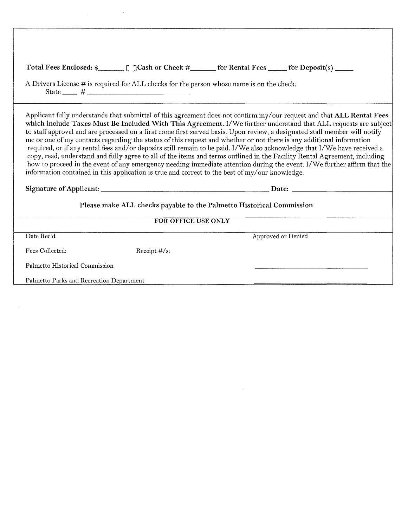|                                                                      |                                                                                                                  | Total Fees Enclosed: \$________________________ [ ]Cash or Check #________ for Rental Fees _______ for Deposit(s) ______                                                                                                                                                                                                                                                                                                                                                                                                                                                                                                                                                                                                                                                                                                                                                           |  |  |
|----------------------------------------------------------------------|------------------------------------------------------------------------------------------------------------------|------------------------------------------------------------------------------------------------------------------------------------------------------------------------------------------------------------------------------------------------------------------------------------------------------------------------------------------------------------------------------------------------------------------------------------------------------------------------------------------------------------------------------------------------------------------------------------------------------------------------------------------------------------------------------------------------------------------------------------------------------------------------------------------------------------------------------------------------------------------------------------|--|--|
|                                                                      | A Drivers License # is required for ALL checks for the person whose name is on the check:<br>State $\frac{+}{+}$ |                                                                                                                                                                                                                                                                                                                                                                                                                                                                                                                                                                                                                                                                                                                                                                                                                                                                                    |  |  |
|                                                                      | information contained in this application is true and correct to the best of my/our knowledge.                   | Applicant fully understands that submittal of this agreement does not confirm my/our request and that ALL Rental Fees<br>which include Taxes Must Be Included With This Agreement. I/We further understand that ALL requests are subject<br>to staff approval and are processed on a first come first served basis. Upon review, a designated staff member will notify<br>me or one of my contacts regarding the status of this request and whether or not there is any additional information<br>required, or if any rental fees and/or deposits still remain to be paid. I/We also acknowledge that I/We have received a<br>copy, read, understand and fully agree to all of the items and terms outlined in the Facility Rental Agreement, including<br>how to proceed in the event of any emergency needing immediate attention during the event. I/We further affirm that the |  |  |
| Please make ALL checks payable to the Palmetto Historical Commission |                                                                                                                  |                                                                                                                                                                                                                                                                                                                                                                                                                                                                                                                                                                                                                                                                                                                                                                                                                                                                                    |  |  |
|                                                                      | FOR OFFICE USE ONLY                                                                                              |                                                                                                                                                                                                                                                                                                                                                                                                                                                                                                                                                                                                                                                                                                                                                                                                                                                                                    |  |  |
| Date Rec'd:                                                          |                                                                                                                  | Approved or Denied                                                                                                                                                                                                                                                                                                                                                                                                                                                                                                                                                                                                                                                                                                                                                                                                                                                                 |  |  |
| Fees Collected:                                                      | Receipt $\#/s$ :                                                                                                 |                                                                                                                                                                                                                                                                                                                                                                                                                                                                                                                                                                                                                                                                                                                                                                                                                                                                                    |  |  |
| Palmetto Historical Commission                                       |                                                                                                                  |                                                                                                                                                                                                                                                                                                                                                                                                                                                                                                                                                                                                                                                                                                                                                                                                                                                                                    |  |  |
| Palmetto Parks and Recreation Department                             |                                                                                                                  |                                                                                                                                                                                                                                                                                                                                                                                                                                                                                                                                                                                                                                                                                                                                                                                                                                                                                    |  |  |

 $\Delta \phi = 0.01$  and  $\phi = 0.01$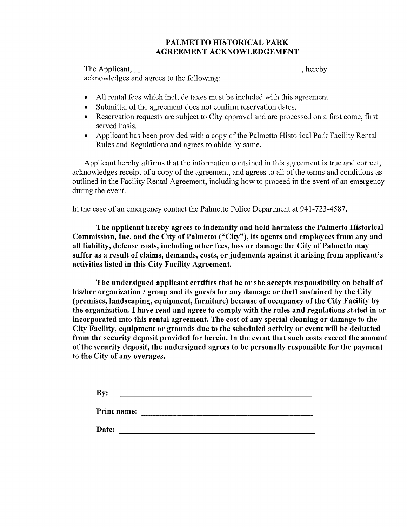## PALMETTO HISTORICAL PARK AGREEMENT ACKNOWLEDGEMENT

The Applicant, the set of the set of the set of the set of the set of the set of the set of the set of the set of the set of the set of the set of the set of the set of the set of the set of the set of the set of the set o acknowledges and agrees to the following:

- All rental fees which include taxes must be included with this agreement.
- Submittal of the agreement does not confirm reservation dates.
- Reservation requests are subject to City approval and are processed on a first come, first served basis.
- Applicant has been provided with a copy of the Palmetto Historical Park Facility Rental Rules and Regulations and agrees to abide by same.

Applicant hereby affirms that the information contained in this agreement is true and correct, acknowledges receipt of a copy of the agreement, and agrees to all of the terms and conditions as outlined in the Facility Rental Agreement, including how to proceed in the event of an emergency during the event.

In the case of an emergency contact the Palmetto Police Department at 941-723-4587.

The applicant hereby agrees to indemnify and hold harmless the Palmetto Historical Commission, Inc. and the City of Palmetto ("City"), its agents and employees from any and all liability, defense costs, including other fees, loss or damage the City of Palmetto may suffer as a result of claims, demands, costs, or judgments against it arising from applicant's activities listed in this City Facility Agreement.

The undersigned applicant certifies that he or she accepts responsibility on behalf of his/her organization / group and its guests for any damage or theft sustained by the City (premises, landscaping, equipment, furniture) because of occupancy of the City Facility by the organization. I have read and agree to comply with the rules and regulations stated in or incorporated into this rental agreement. The cost of any special cleaning or damage to the City Facility, equipment or grounds due to the scheduled activity or event will be deducted from the security deposit provided for herein. In the event that such costs exceed the amount of the security deposit, the undersigned agrees to be personally responsible for the payment to the City of any overages.

| By:         |  |  |  |
|-------------|--|--|--|
| Print name: |  |  |  |
| Date:       |  |  |  |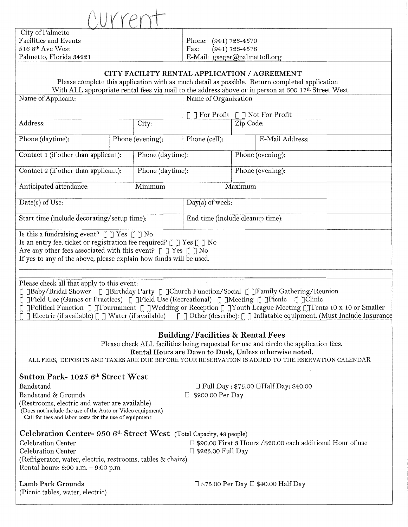$\bigcup_{Y\in Y}$ 

**City of Palmetto**<br>Facilities and Events 516 8<sup>th</sup> Ave West<br>Palmetto, Florida 34221

Phone: (941) 723-4570<br>Fax: (941) 723-4576 E-Mail:  $gseger@palmettofl.org$ 

## CITY FACILITY RENTAL APPLICATION I AGREEMENT

|                                      |  |                      | CH I PACILITT RENTAL AFFLICATION / AOREEMENT |           |                                                                                                      |
|--------------------------------------|--|----------------------|----------------------------------------------|-----------|------------------------------------------------------------------------------------------------------|
|                                      |  |                      |                                              |           | Please complete this application with as much detail as possible. Return completed application       |
|                                      |  |                      |                                              |           | With ALL appropriate rental fees via mail to the address above or in person at 600 17th Street West. |
| Name of Applicant:                   |  | Name of Organization |                                              |           |                                                                                                      |
|                                      |  |                      |                                              |           | $\exists$ For Profit $\upharpoonright$ $\exists$ Not For Profit                                      |
| Address:                             |  | City:                |                                              | Zip Code: |                                                                                                      |
| Phone (daytime):                     |  | Phone (evening):     | Phone (cell):                                |           | E-Mail Address:                                                                                      |
| Contact 1 (if other than applicant): |  | Phone (daytime):     |                                              |           | Phone (evening):                                                                                     |
| Contact 2 (if other than applicant): |  | Phone (daytime):     |                                              |           | Phone (evening):                                                                                     |
| Anticipated attendance:              |  | Minimum              |                                              | Maximum   |                                                                                                      |
|                                      |  |                      |                                              |           |                                                                                                      |

 $Date(s)$  of Use:  $Day(s)$  of week: Start time (include decorating/ setup time): End time (include cleanup time):

Is this a fundraising event?  $\lceil \ \rceil$  Yes  $\lceil \ \rceil$  No

ls an entry fee, ticket or registration fee required? [ J Yes [ J No

Are any other fees associated with this event?  $\lbrack \lbrack \; \rbrack$  Yes  $\lbrack \; \rbrack$  No

If yes to any of the above, please explain how funds will be used.

Please check all that apply to this event:

[ ]Baby/Bridal Shower [ ]Birthday Party [ ]Church Function/Social [ ]Family Gathering/Reunion

[ ]Field Use (Games or Practices) [ ]Field Use (Recreational) [ ]Meeting [ ]Picnic [ ]Clinic

[ ]Political Function [ ]Tournament [ ]Wedding or Reception [ ]Youth League Meeting OTents 10 x 10 or Smaller  $\bar{P}$  Electric (if available)  $\bar{P}$   $\bar{P}$  Water (if available)  $\bar{P}$   $\bar{P}$  Other (describe):  $\bar{P}$   $\bar{P}$  Inflatable equipment. (Must Include Insurance

# Building/Facilities & Rental Fees

Please check ALL facilities being requested for use and circle the application fees. Rental Hours are Dawn to Dusk, Unless otherwise noted.

ALL FEES, DEPOSITS AND TAXES ARE DUE BEFORE YOUR RESERVATION IS ADDED TO THE RSERVATION CALENDAR

# Sutton Park- 1025 6<sup>th</sup> Street West

Bandstand  $\Box$  Full Day: \$75.00  $\Box$  Half Day: \$40.00 Bandstand & Grounds D \$200.00 Per Day (Restrooms, electric and water are available) (Does not include the use of the Auto or Video equipment) Call for fees and labor costs for the use of equipment Celebration Center- 950 6<sup>th</sup> Street West (Total Capacity, 48 people) Celebration Center  $\Box$  \$90.00 First 3 Hours /\$20.00 each additional Hour of use<br>Celebration Center  $\Box$  \$225.00 Full Day  $\square$  \$225.00 Full Day (Refrigerator, water, electric, restrooms, tables & chairs) Rental hours:  $8:00$  a.m.  $-9:00$  p.m.

(Picnic tables, water, electric)

Lamb Park Grounds D \$75.00 Per Day D \$40.00 Half Day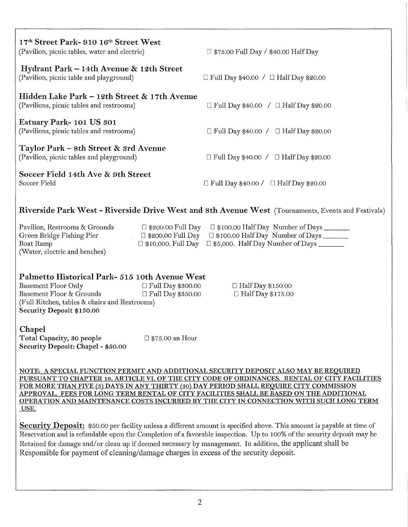| 17th Street Park- 910 16th Street West<br>(Pavilion, picnic tables, water and electric)  | $\Box$ \$75.00 Full Day / \$40.00 Half Day        |
|------------------------------------------------------------------------------------------|---------------------------------------------------|
| Hydrant Park – 14th Avenue & 12th Street<br>(Pavilion, picnic table and playground)      | $\Box$ Full Day \$40.00 / $\Box$ Half Day \$20.00 |
| Hidden Lake Park – 12th Street & 17th Avenue<br>(Pavilions, picnic tables and restrooms) | $\Box$ Full Day \$40.00 / $\Box$ Half Day \$20.00 |
| Estuary Park-101 US 301<br>(Pavilions, picnic tables and restrooms)                      | $\Box$ Full Day \$40.00 / $\Box$ Half Day \$20.00 |
| Taylor Park – 8th Street & 3rd Avenue<br>(Pavilion, picnic tables and playground)        | $\Box$ Full Day \$40.00 / $\Box$ Half Day \$20.00 |
| Soccer Field 14th Ave & 9th Street<br>Soccer Field                                       | $\Box$ Full Day \$40.00 / $\Box$ Half Day \$20.00 |

# Riverside Park West - Riverside Drive West and 8th Avenue West (Tournaments, Events and Festivals)

| Pavilion, Restrooms & Grounds | $\Box$ \$200.00 Full Day | $\Box$ \$100.00 Half Day Number of Days                                   |
|-------------------------------|--------------------------|---------------------------------------------------------------------------|
| Green Bridge Fishing Pier     | $\Box$ \$200.00 Full Day | $\Box$ \$100.00 Half Day Number of Days ________                          |
| Boat Ramp                     |                          | $\Box$ \$10,000. Full Day $\Box$ \$5,000. Half Day Number of Days _______ |
| (Water, electric and benches) |                          |                                                                           |

# **Palmetto Historical Park- 515 10th Avenue West**<br>Basement Floor Only  $\Box$  Full Day \$300.00

Basement Floor Only Basement Floor & Grounds  $\Box$  Full Day \$350.00 (Full Kitchen, tables & chairs and Restrooms) Security Deposit *\$150.00*   $\Box$  Half Day \$150.00  $\Box$  Half Day \$175.00

#### Chapel

Total Capacity, 30 people Security Deposit: Chapel - *\$50.00*  □ \$75.00 an Hour

NOTE: A SPECIAL FUNCTION PERMIT AND ADDITIONAL SECURITY DEPOSIT ALSO MAY BE REQUIRED PURSUANT TO CHAPTER 19, ARTICLE VI. OF THE CITY CODE OF ORDINANCES. RENTAL OF CITY FACILITIES FOR MORE THAN FIVE (5) DAYS IN ANY THIRTY (so) DAY PERIOD SHALL REQUIRE CITY COMMISSION APPROVAL. FEES FOR LONG TERM RENTAL OF CITY FACILITIES SHALL BE BASED ON THE ADDITIONAL OPERATION AND MAINTENANCE COSTS INCURRED BY THE CITY IN CONNECTION WITH SUCH LONG TERM USE.

Security Deposit: \$50.00 per facility unless a different amount is specified above. This amount is payable at time of Reservation and is refundable upon the Completion of a favorable inspection. Up to 100% of the security deposit may be Retained for damage and/or clean up if deemed necessary by management. In addition, the applicant shall be Responsible for payment of cleaning/damage charges in excess of the security deposit.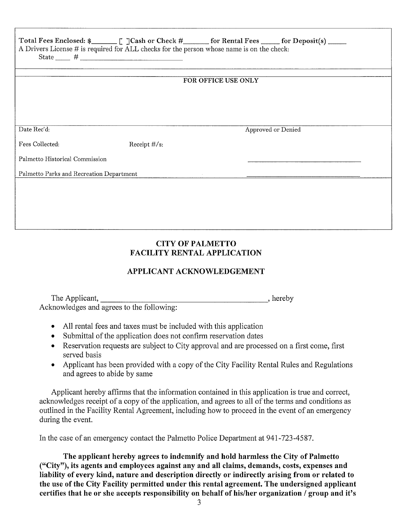| Total Fees Enclosed: \$_________ [ ]Cash or Check #_______ for Rental Fees ______ for Deposit(s) _____<br>A Drivers License # is required for ALL checks for the person whose name is on the check: |                  |                     |                    |
|-----------------------------------------------------------------------------------------------------------------------------------------------------------------------------------------------------|------------------|---------------------|--------------------|
|                                                                                                                                                                                                     |                  | FOR OFFICE USE ONLY |                    |
|                                                                                                                                                                                                     |                  |                     |                    |
|                                                                                                                                                                                                     |                  |                     |                    |
| Date Rec'd:                                                                                                                                                                                         |                  |                     | Approved or Denied |
| Fees Collected:                                                                                                                                                                                     | Receipt $\#/s$ : |                     |                    |
| Palmetto Historical Commission                                                                                                                                                                      |                  |                     |                    |
| Palmetto Parks and Recreation Department                                                                                                                                                            |                  |                     |                    |
|                                                                                                                                                                                                     |                  |                     |                    |
|                                                                                                                                                                                                     |                  |                     |                    |
|                                                                                                                                                                                                     |                  |                     |                    |

# CITY OF PALMETTO FACILITY RENTAL APPLICATION

# APPLICANT ACKNOWLEDGEMENT

The Applicant, \_\_\_\_\_\_\_\_\_\_\_\_\_\_\_\_\_\_ , hereby Acknowledges and agrees to the following:

- All rental fees and taxes must be included with this application
- Submittal of the application does not confirm reservation dates
- Reservation requests are subject to City approval and are processed on a first come, first served basis
- Applicant has been provided with a copy of the City Facility Rental Rules and Regulations and agrees to abide by same

Applicant hereby affirms that the information contained in this application is true and correct, acknowledges receipt of a copy of the application, and agrees to all of the terms and conditions as outlined in the Facility Rental Agreement, including how to proceed in the event of an emergency during the event.

In the case of an emergency contact the Palmetto Police Department at 941-723-4587.

The applicant hereby agrees to indemnify and hold harmless the City of Palmetto ("City"), its agents and employees against any and all claims, demands, costs, expenses and liability of every kind, nature and description directly or indirectly arising from or related to the use of the City Facility permitted under this rental agreement. The undersigned applicant certifies that he or she accepts responsibility on behalf of his/her organization / group and it's